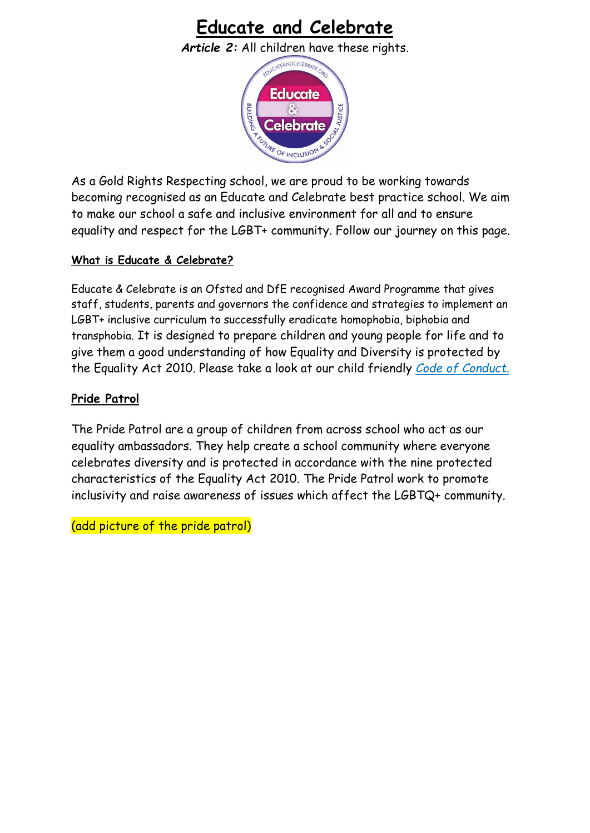# **Educate and Celebrate**

*Article 2:* All children have these rights.



As a Gold Rights Respecting school, we are proud to be working towards becoming recognised as an Educate and Celebrate best practice school. We aim to make our school a safe and inclusive environment for all and to ensure equality and respect for the LGBT+ community. Follow our journey on this page.

### **What is Educate & Celebrate?**

Educate & Celebrate is an Ofsted and DfE recognised Award Programme that gives staff, students, parents and governors the confidence and strategies to implement an LGBT+ inclusive curriculum to successfully eradicate homophobia, biphobia and transphobia. It is designed to prepare children and young people for life and to give them a good understanding of how Equality and Diversity is protected by the Equality Act 2010. Please take a look at our child friendly *Code of Conduct.*

### **Pride Patrol**

The Pride Patrol are a group of children from across school who act as our equality ambassadors. They help create a school community where everyone celebrates diversity and is protected in accordance with the nine protected characteristics of the Equality Act 2010. The Pride Patrol work to promote inclusivity and raise awareness of issues which affect the LGBTQ+ community.

(add picture of the pride patrol)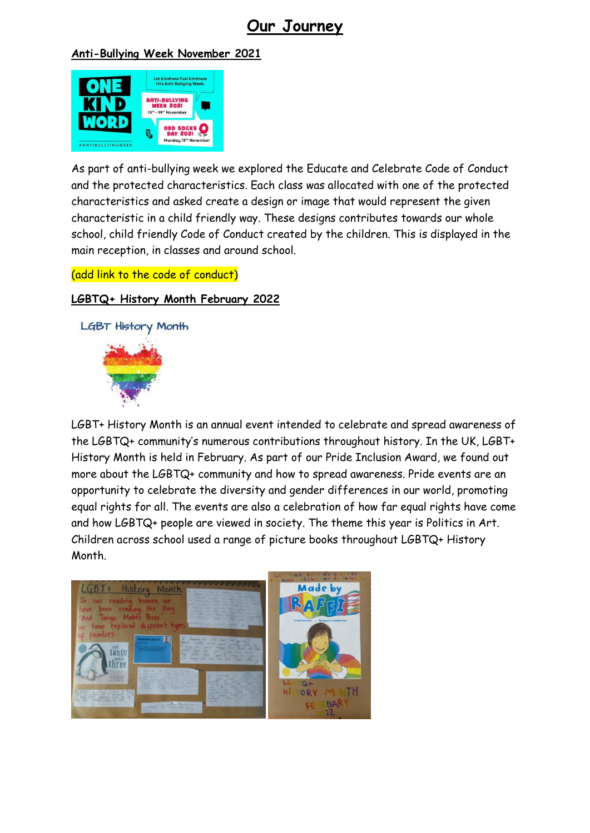## **Our Journey**

#### **Anti-Bullying Week November 2021**



As part of anti-bullying week we explored the Educate and Celebrate Code of Conduct and the protected characteristics. Each class was allocated with one of the protected characteristics and asked create a design or image that would represent the given characteristic in a child friendly way. These designs contributes towards our whole school, child friendly Code of Conduct created by the children. This is displayed in the main reception, in classes and around school.

(add link to the code of conduct)

### **LGBTQ+ History Month February 2022**



LGBT+ History Month is an annual event intended to celebrate and spread awareness of the LGBTQ+ community's numerous contributions throughout history. In the UK, LGBT+ History Month is held in February. As part of our Pride Inclusion Award, we found out more about the LGBTQ+ community and how to spread awareness. Pride events are an opportunity to celebrate the diversity and gender differences in our world, promoting equal rights for all. The events are also a celebration of how far equal rights have come and how LGBTQ+ people are viewed in society. The theme this year is Politics in Art. Children across school used a range of picture books throughout LGBTQ+ History Month.